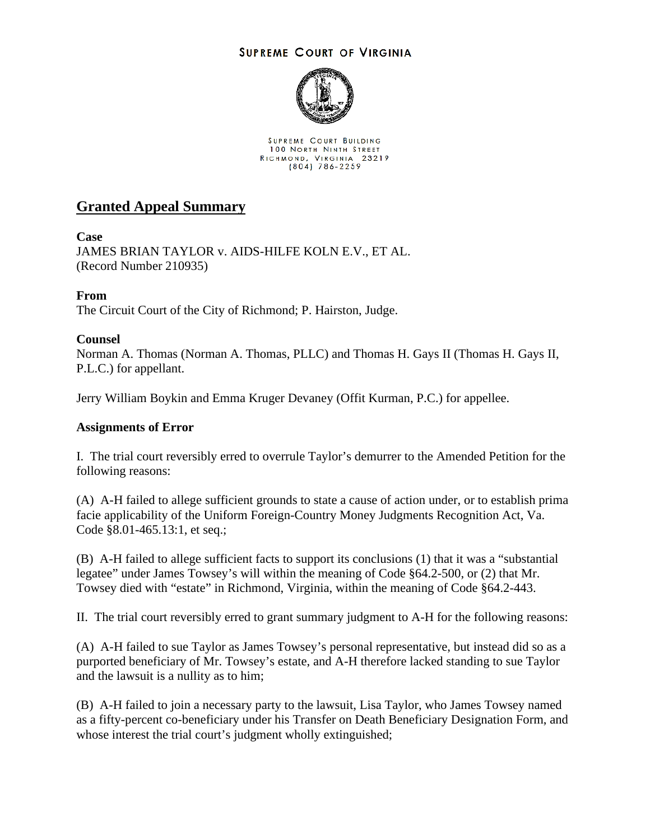## **SUPREME COURT OF VIRGINIA**



SUPREME COURT BUILDING **100 NORTH NINTH STREET** RICHMOND, VIRGINIA 23219

# **Granted Appeal Summary**

## **Case**

JAMES BRIAN TAYLOR v. AIDS-HILFE KOLN E.V., ET AL. (Record Number 210935)

## **From**

The Circuit Court of the City of Richmond; P. Hairston, Judge.

## **Counsel**

Norman A. Thomas (Norman A. Thomas, PLLC) and Thomas H. Gays II (Thomas H. Gays II, P.L.C.) for appellant.

Jerry William Boykin and Emma Kruger Devaney (Offit Kurman, P.C.) for appellee.

#### **Assignments of Error**

I. The trial court reversibly erred to overrule Taylor's demurrer to the Amended Petition for the following reasons:

(A) A-H failed to allege sufficient grounds to state a cause of action under, or to establish prima facie applicability of the Uniform Foreign-Country Money Judgments Recognition Act, Va. Code §8.01-465.13:1, et seq.;

(B) A-H failed to allege sufficient facts to support its conclusions (1) that it was a "substantial legatee" under James Towsey's will within the meaning of Code §64.2-500, or (2) that Mr. Towsey died with "estate" in Richmond, Virginia, within the meaning of Code §64.2-443.

II. The trial court reversibly erred to grant summary judgment to A-H for the following reasons:

(A) A-H failed to sue Taylor as James Towsey's personal representative, but instead did so as a purported beneficiary of Mr. Towsey's estate, and A-H therefore lacked standing to sue Taylor and the lawsuit is a nullity as to him;

(B) A-H failed to join a necessary party to the lawsuit, Lisa Taylor, who James Towsey named as a fifty-percent co-beneficiary under his Transfer on Death Beneficiary Designation Form, and whose interest the trial court's judgment wholly extinguished;